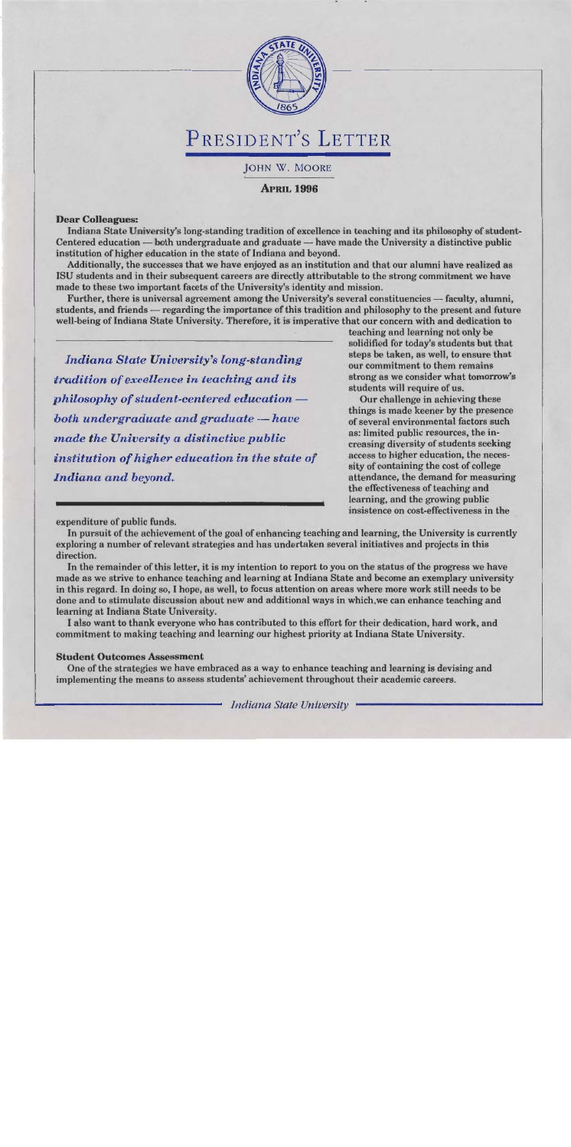

JOHN W. MOORE

**APRIL 1996** 

### **Dear Colleagues:**

Indiana State University's long-standing tradition of excellence in teaching and its philosophy of student-Centered education — both undergraduate and graduate — have made the University a distinctive public institution of higher education in the state of Indiana and beyond.

Additionally, the successes that we have enjoyed as an institution and that our alumni have realized as ISU students and in their subsequent careers are directly attributable to the strong commitment we have made to these two important facets of the University's identity and mission.

Further, there is universal agreement among the University's several constituencies — faculty, alumni, students, and friends — regarding the importance of this tradition and philosophy to the present and future well-being of Indiana State University. Therefore, it is imperative that our concern with and dedication to

**Indiana State University's long-standing** tradition of excellence in teaching and its philosophy of student-centered education both undergraduate and graduate – have made the University a distinctive public institution of higher education in the state of Indiana and beyond.

teaching and learning not only be solidified for today's students but that steps be taken, as well, to ensure that our commitment to them remains strong as we consider what tomorrow's students will require of us.

Our challenge in achieving these things is made keener by the presence of several environmental factors such as: limited public resources, the increasing diversity of students seeking access to higher education, the necessity of containing the cost of college attendance, the demand for measuring the effectiveness of teaching and learning, and the growing public insistence on cost-effectiveness in the

expenditure of public funds.

In pursuit of the achievement of the goal of enhancing teaching and learning, the University is currently exploring a number of relevant strategies and has undertaken several initiatives and projects in this direction.

In the remainder of this letter, it is my intention to report to you on the status of the progress we have made as we strive to enhance teaching and learning at Indiana State and become an exemplary university in this regard. In doing so, I hope, as well, to focus attention on areas where more work still needs to be done and to stimulate discussion about new and additional ways in which, we can enhance teaching and learning at Indiana State University.

I also want to thank everyone who has contributed to this effort for their dedication, hard work, and commitment to making teaching and learning our highest priority at Indiana State University.

### **Student Outcomes Assessment**

One of the strategies we have embraced as a way to enhance teaching and learning is devising and implementing the means to assess students' achievement throughout their academic careers.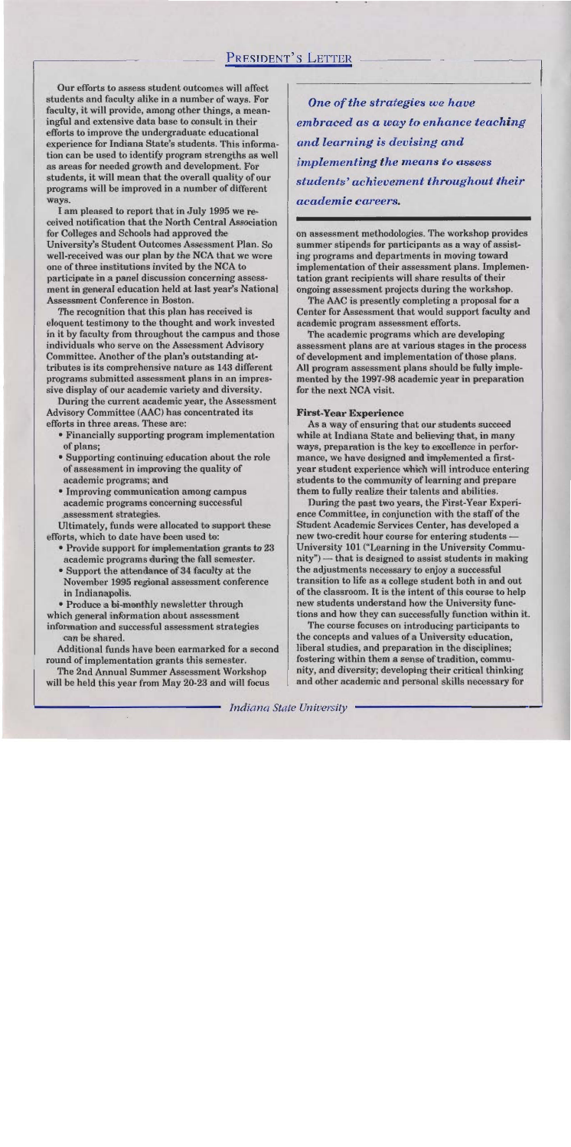Our efforts to assess student outcomes will affect students and faculty alike in a number of ways. For faculty, it will provide, among other things, a meaningful and extensive data base to consult in their efforts to improve the undergraduate educational experience for Indiana State's students. This information can be used to identify program strengths as well as areas for needed growth and development. For students, it will mean that the overall quality of our programs will be improved in a number of different ways.

I am pleased to report that in July 1995 we received notification that the North Central Association for Colleges and Schools had approved the University's Student Outcomes Assessment Plan. So well-received was our plan by the NCA that we were one of three institutions invited by the NCA to participate in a panel discussion concerning assessment in general education held at last year's National **Assessment Conference in Boston.** 

The recognition that this plan has received is eloquent testimony to the thought and work invested in it by faculty from throughout the campus and those individuals who serve on the Assessment Advisory Committee. Another of the plan's outstanding attributes is its comprehensive nature as 143 different programs submitted assessment plans in an impressive display of our academic variety and diversity.

During the current academic year, the Assessment Advisory Committee (AAC) has concentrated its efforts in three areas. These are:

- Financially supporting program implementation of plans;
- Supporting continuing education about the role of assessment in improving the quality of academic programs; and
- Improving communication among campus academic programs concerning successful assessment strategies.

Ultimately, funds were allocated to support these efforts, which to date have been used to:

- Provide support for implementation grants to 23 academic programs during the fall semester.
- Support the attendance of 34 faculty at the November 1995 regional assessment conference in Indianapolis.

· Produce a bi-monthly newsletter through which general information about assessment information and successful assessment strategies can be shared.

Additional funds have been earmarked for a second round of implementation grants this semester.

The 2nd Annual Summer Assessment Workshop will be held this year from May 20-23 and will focus

One of the strategies we have embraced as a way to enhance teaching and learning is devising and *implementing the means to assess* students' achievement throughout their academic careers.

on assessment methodologies. The workshop provides summer stipends for participants as a way of assisting programs and departments in moving toward implementation of their assessment plans. Implementation grant recipients will share results of their ongoing assessment projects during the workshop.

The AAC is presently completing a proposal for a Center for Assessment that would support faculty and academic program assessment efforts.

The academic programs which are developing assessment plans are at various stages in the process of development and implementation of those plans. All program assessment plans should be fully implemented by the 1997-98 academic year in preparation for the next NCA visit.

### **First-Year Experience**

As a way of ensuring that our students succeed while at Indiana State and believing that, in many ways, preparation is the key to excellence in performance, we have designed and implemented a firstyear student experience which will introduce entering students to the community of learning and prepare them to fully realize their talents and abilities.

During the past two years, the First-Year Experience Committee, in conjunction with the staff of the Student Academic Services Center, has developed a new two-credit hour course for entering students -University 101 ("Learning in the University Community") — that is designed to assist students in making the adjustments necessary to enjoy a successful transition to life as a college student both in and out of the classroom. It is the intent of this course to help new students understand how the University functions and how they can successfully function within it.

The course focuses on introducing participants to the concepts and values of a University education, liberal studies, and preparation in the disciplines; fostering within them a sense of tradition, community, and diversity; developing their critical thinking and other academic and personal skills necessary for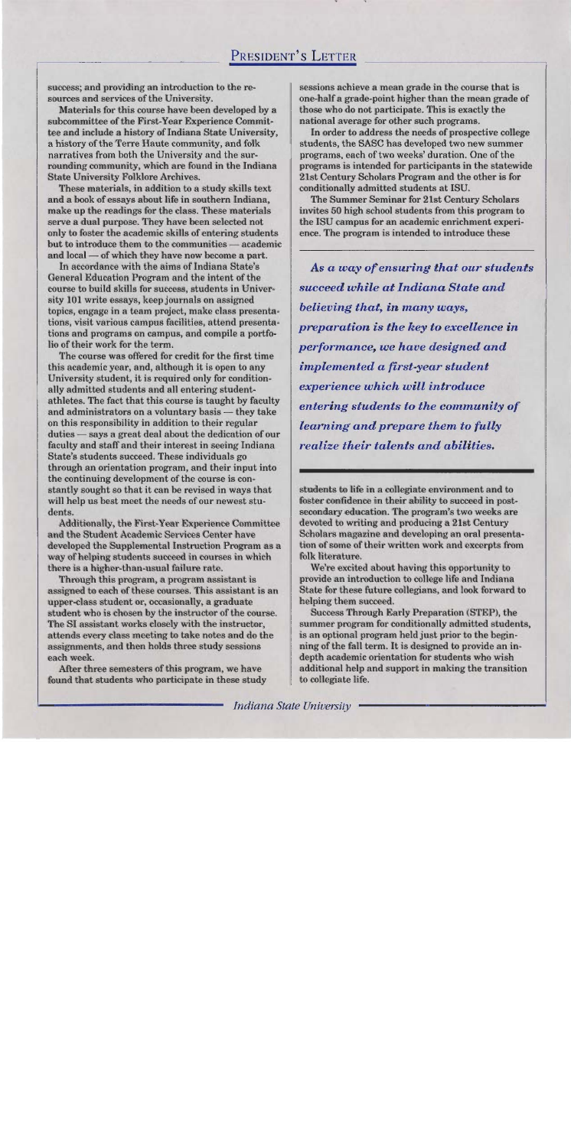success; and providing an introduction to the resources and services of the University.

Materials for this course have been developed by a subcommittee of the First-Year Experience Committee and include a history of Indiana State University, a history of the Terre Haute community, and folk narratives from both the University and the surrounding community, which are found in the Indiana **State University Folklore Archives.** 

These materials, in addition to a study skills text and a book of essays about life in southern Indiana, make up the readings for the class. These materials serve a dual purpose. They have been selected not only to foster the academic skills of entering students but to introduce them to the communities — academic and local — of which they have now become a part.

In accordance with the aims of Indiana State's General Education Program and the intent of the course to build skills for success, students in University 101 write essays, keep journals on assigned topics, engage in a team project, make class presentations, visit various campus facilities, attend presentations and programs on campus, and compile a portfolio of their work for the term.

The course was offered for credit for the first time this academic year, and, although it is open to any University student, it is required only for conditionally admitted students and all entering studentathletes. The fact that this course is taught by faculty and administrators on a voluntary basis - they take on this responsibility in addition to their regular duties — says a great deal about the dedication of our faculty and staff and their interest in seeing Indiana State's students succeed. These individuals go through an orientation program, and their input into the continuing development of the course is constantly sought so that it can be revised in ways that will help us best meet the needs of our newest students.

**Additionally, the First-Year Experience Committee** and the Student Academic Services Center have developed the Supplemental Instruction Program as a way of helping students succeed in courses in which there is a higher-than-usual failure rate.

Through this program, a program assistant is assigned to each of these courses. This assistant is an upper-class student or, occasionally, a graduate student who is chosen by the instructor of the course. The SI assistant works closely with the instructor, attends every class meeting to take notes and do the assignments, and then holds three study sessions each week.

After three semesters of this program, we have found that students who participate in these study sessions achieve a mean grade in the course that is one-half a grade-point higher than the mean grade of those who do not participate. This is exactly the national average for other such programs.

In order to address the needs of prospective college students, the SASC has developed two new summer programs, each of two weeks' duration. One of the programs is intended for participants in the statewide 21st Century Scholars Program and the other is for conditionally admitted students at ISU.

The Summer Seminar for 21st Century Scholars invites 50 high school students from this program to the ISU campus for an academic enrichment experience. The program is intended to introduce these

As a way of ensuring that our students succeed while at Indiana State and believing that, in many ways, preparation is the key to excellence in performance, we have designed and implemented a first-year student experience which will introduce entering students to the community of learning and prepare them to fully realize their talents and abilities.

students to life in a collegiate environment and to foster confidence in their ability to succeed in postsecondary education. The program's two weeks are devoted to writing and producing a 21st Century Scholars magazine and developing an oral presentation of some of their written work and excerpts from folk literature.

We're excited about having this opportunity to provide an introduction to college life and Indiana State for these future collegians, and look forward to helping them succeed.

**Success Through Early Preparation (STEP), the** summer program for conditionally admitted students, is an optional program held just prior to the beginning of the fall term. It is designed to provide an indepth academic orientation for students who wish additional help and support in making the transition to collegiate life.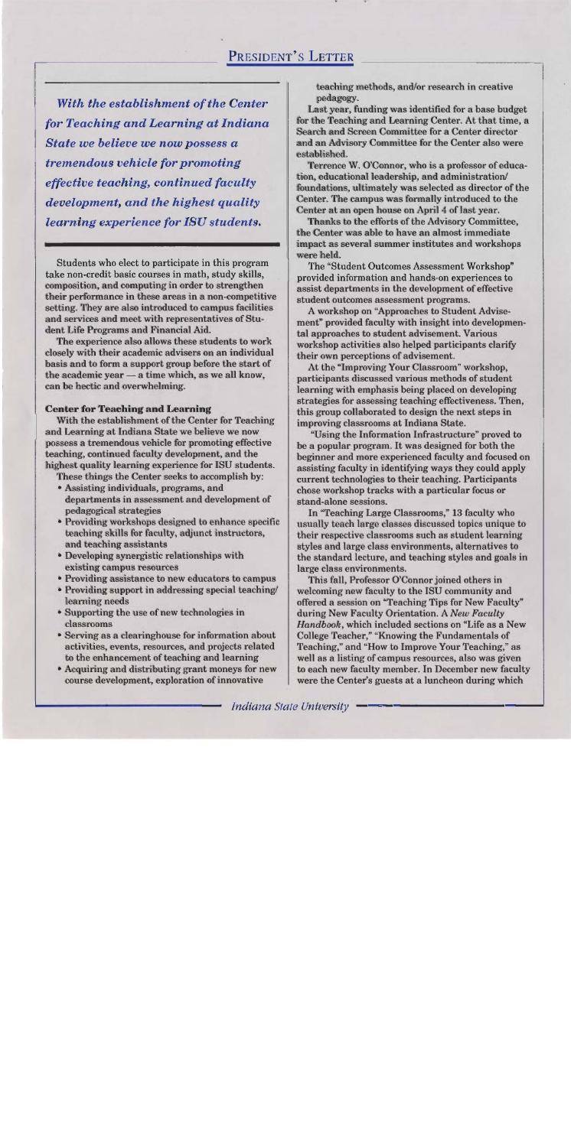With the establishment of the Center for Teaching and Learning at Indiana State we believe we now possess a tremendous vehicle for promoting effective teaching, continued faculty development, and the highest quality learning experience for ISU students.

Students who elect to participate in this program take non-credit basic courses in math, study skills, composition, and computing in order to strengthen their performance in these areas in a non-competitive setting. They are also introduced to campus facilities and services and meet with representatives of Student Life Programs and Financial Aid.

The experience also allows these students to work closely with their academic advisers on an individual basis and to form a support group before the start of the academic year - a time which, as we all know, can be hectic and overwhelming.

### **Center for Teaching and Learning**

With the establishment of the Center for Teaching and Learning at Indiana State we believe we now possess a tremendous vehicle for promoting effective teaching, continued faculty development, and the highest quality learning experience for ISU students.

These things the Center seeks to accomplish by: • Assisting individuals, programs, and

- departments in assessment and development of pedagogical strategies
- Providing workshops designed to enhance specific teaching skills for faculty, adjunct instructors, and teaching assistants
- Developing synergistic relationships with existing campus resources
- Providing assistance to new educators to campus
- Providing support in addressing special teaching/ learning needs
- Supporting the use of new technologies in classrooms
- Serving as a clearinghouse for information about activities, events, resources, and projects related to the enhancement of teaching and learning
- Acquiring and distributing grant moneys for new course development, exploration of innovative

teaching methods, and/or research in creative pedagogy.

Last year, funding was identified for a base budget for the Teaching and Learning Center. At that time, a Search and Screen Committee for a Center director and an Advisory Committee for the Center also were established.

Terrence W. O'Connor, who is a professor of education, educational leadership, and administration/ foundations, ultimately was selected as director of the Center. The campus was formally introduced to the Center at an open house on April 4 of last year.

Thanks to the efforts of the Advisory Committee, the Center was able to have an almost immediate impact as several summer institutes and workshops were held.

The "Student Outcomes Assessment Workshop" provided information and hands-on experiences to assist departments in the development of effective student outcomes assessment programs.

A workshop on "Approaches to Student Advisement" provided faculty with insight into developmental approaches to student advisement. Various workshop activities also helped participants clarify their own perceptions of advisement.

At the "Improving Your Classroom" workshop, participants discussed various methods of student learning with emphasis being placed on developing strategies for assessing teaching effectiveness. Then, this group collaborated to design the next steps in improving classrooms at Indiana State.

"Using the Information Infrastructure" proved to be a popular program. It was designed for both the beginner and more experienced faculty and focused on assisting faculty in identifying ways they could apply current technologies to their teaching. Participants chose workshop tracks with a particular focus or stand-alone sessions.

In "Teaching Large Classrooms," 13 faculty who usually teach large classes discussed topics unique to their respective classrooms such as student learning styles and large class environments, alternatives to the standard lecture, and teaching styles and goals in large class environments.

This fall, Professor O'Connor joined others in welcoming new faculty to the ISU community and offered a session on "Teaching Tips for New Faculty" during New Faculty Orientation. A New Faculty Handbook, which included sections on "Life as a New College Teacher," "Knowing the Fundamentals of Teaching," and "How to Improve Your Teaching," as well as a listing of campus resources, also was given to each new faculty member. In December new faculty were the Center's guests at a luncheon during which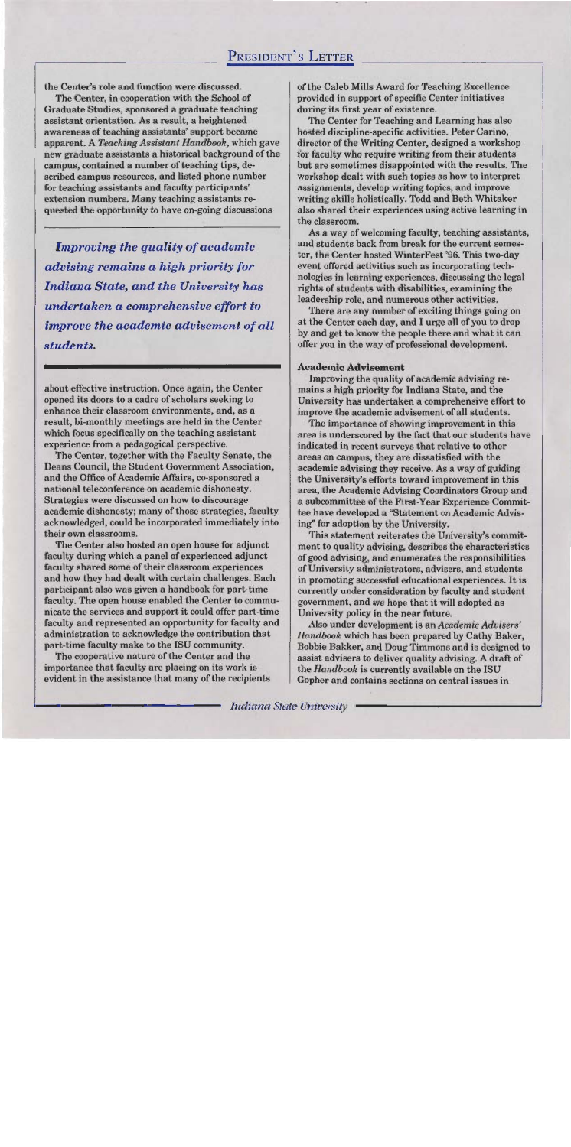the Center's role and function were discussed.

The Center, in cooperation with the School of Graduate Studies, sponsored a graduate teaching assistant orientation. As a result, a heightened awareness of teaching assistants' support became apparent. A Teaching Assistant Handbook, which gave new graduate assistants a historical background of the campus, contained a number of teaching tips, described campus resources, and listed phone number for teaching assistants and faculty participants' extension numbers. Many teaching assistants requested the opportunity to have on-going discussions

**Improving the quality of academic** advising remains a high priority for **Indiana State, and the University has** undertaken a comprehensive effort to improve the academic advisement of all students.

about effective instruction. Once again, the Center opened its doors to a cadre of scholars seeking to enhance their classroom environments, and, as a result, bi-monthly meetings are held in the Center which focus specifically on the teaching assistant experience from a pedagogical perspective.

The Center, together with the Faculty Senate, the Deans Council, the Student Government Association, and the Office of Academic Affairs, co-sponsored a national teleconference on academic dishonesty. Strategies were discussed on how to discourage academic dishonesty; many of those strategies, faculty acknowledged, could be incorporated immediately into their own classrooms.

The Center also hosted an open house for adjunct faculty during which a panel of experienced adjunct faculty shared some of their classroom experiences and how they had dealt with certain challenges. Each participant also was given a handbook for part-time faculty. The open house enabled the Center to communicate the services and support it could offer part-time faculty and represented an opportunity for faculty and administration to acknowledge the contribution that part-time faculty make to the ISU community.

The cooperative nature of the Center and the importance that faculty are placing on its work is evident in the assistance that many of the recipients of the Caleb Mills Award for Teaching Excellence provided in support of specific Center initiatives during its first year of existence.

The Center for Teaching and Learning has also hosted discipline-specific activities. Peter Carino, director of the Writing Center, designed a workshop for faculty who require writing from their students but are sometimes disappointed with the results. The workshop dealt with such topics as how to interpret assignments, develop writing topics, and improve writing skills holistically. Todd and Beth Whitaker also shared their experiences using active learning in the classroom.

As a way of welcoming faculty, teaching assistants, and students back from break for the current semester, the Center hosted WinterFest '96. This two-day event offered activities such as incorporating technologies in learning experiences, discussing the legal rights of students with disabilities, examining the leadership role, and numerous other activities.

There are any number of exciting things going on at the Center each day, and I urge all of you to drop by and get to know the people there and what it can offer you in the way of professional development.

### **Academic Advisement**

Improving the quality of academic advising remains a high priority for Indiana State, and the University has undertaken a comprehensive effort to improve the academic advisement of all students.

The importance of showing improvement in this area is underscored by the fact that our students have indicated in recent surveys that relative to other areas on campus, they are dissatisfied with the academic advising they receive. As a way of guiding the University's efforts toward improvement in this area, the Academic Advising Coordinators Group and a subcommittee of the First-Year Experience Committee have developed a "Statement on Academic Advising" for adoption by the University.

This statement reiterates the University's commitment to quality advising, describes the characteristics of good advising, and enumerates the responsibilities of University administrators, advisers, and students in promoting successful educational experiences. It is currently under consideration by faculty and student government, and we hope that it will adopted as University policy in the near future.

Also under development is an Academic Advisers' Handbook which has been prepared by Cathy Baker, Bobbie Bakker, and Doug Timmons and is designed to assist advisers to deliver quality advising. A draft of the Handbook is currently available on the ISU Gopher and contains sections on central issues in